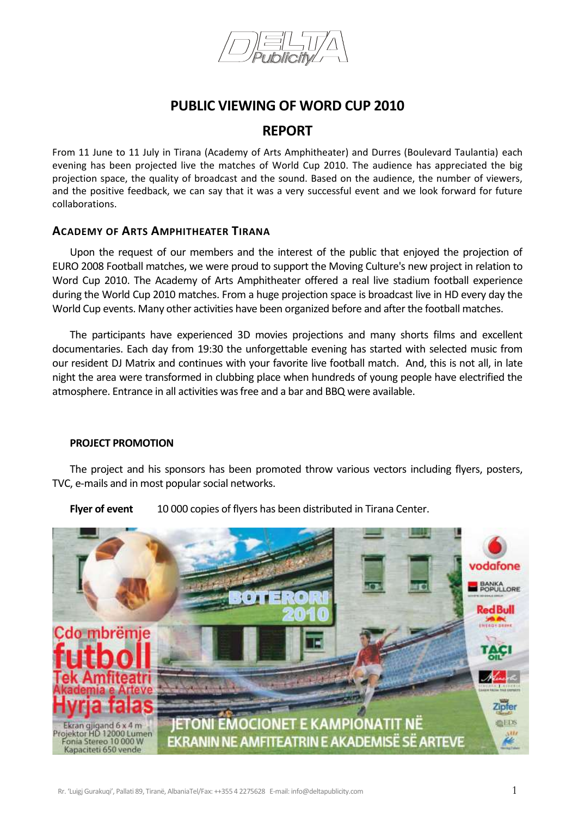

# **PUBLIC VIEWING OF WORD CUP 2010**

## **REPORT**

From 11 June to 11 July in Tirana (Academy of Arts Amphitheater) and Durres (Boulevard Taulantia) each evening has been projected live the matches of World Cup 2010. The audience has appreciated the big projection space, the quality of broadcast and the sound. Based on the audience, the number of viewers, and the positive feedback, we can say that it was a very successful event and we look forward for future collaborations.

### **ACADEMY OF ARTS AMPHITHEATER TIRANA**

Upon the request of our members and the interest of the public that enjoyed the projection of EURO 2008 Football matches, we were proud to support the Moving Culture's new project in relation to Word Cup 2010. The Academy of Arts Amphitheater offered a real live stadium football experience during the World Cup 2010 matches. From a huge projection space is broadcast live in HD every day the World Cup events. Many other activities have been organized before and after the football matches.

The participants have experienced 3D movies projections and many shorts films and excellent documentaries. Each day from 19:30 the unforgettable evening has started with selected music from our resident DJ Matrix and continues with your favorite live football match. And, this is not all, in late night the area were transformed in clubbing place when hundreds of young people have electrified the atmosphere. Entrance in all activities wasfree and a bar and BBQ were available.

#### **PROJECT PROMOTION**

The project and his sponsors has been promoted throw various vectors including flyers, posters, TVC, e-mails and in most popular social networks.

vodafone **BANKA**<br>POPULLORE **Red Bull** ENTROY DRIME Cdo mbrëmie Zipfer **JETONI EMOCIONET E KAMPIONATIT NË QEDS** Ekran gjigand 6 x 4 m ojektor HD 12000 Lumen EKRANIN NE AMFITEATRIN E AKADEMISË SË ARTEVE Fonia Stereo 10 000 W Kapaciteti 650 vende

**Flyer of event** 10 000 copies of flyers has been distributed in Tirana Center.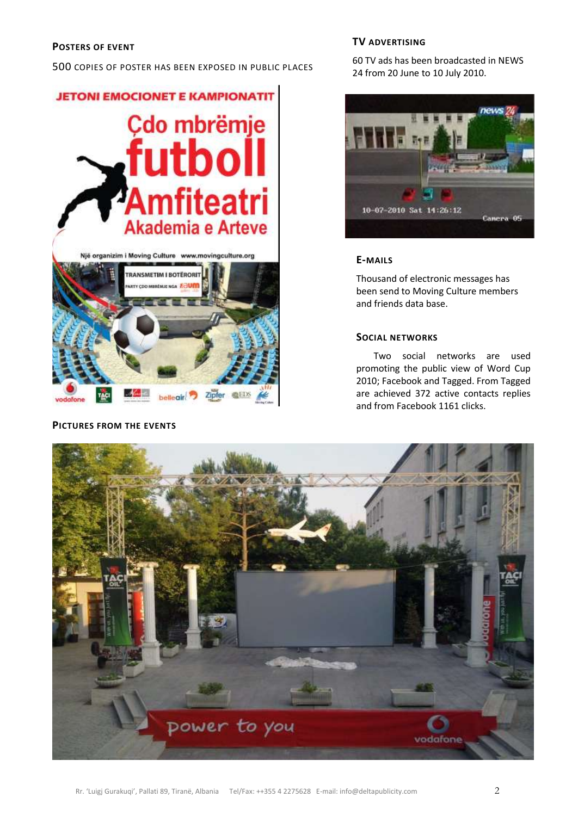#### **POSTERS OF EVENT**

500 COPIES OF POSTER HAS BEEN EXPOSED IN PUBLIC PLACES



#### **PICTURES FROM THE EVENTS**

#### **TV ADVERTISING**

60 TV ads has been broadcasted in NEWS 24 from 20 June to 10 July 2010.



#### **E-MAILS**

Thousand of electronic messages has been send to Moving Culture members and friends data base.

#### **SOCIAL NETWORKS**

Two social networks are used promoting the public view of Word Cup 2010; Facebook and Tagged. From Tagged are achieved 372 active contacts replies and from Facebook 1161 clicks.

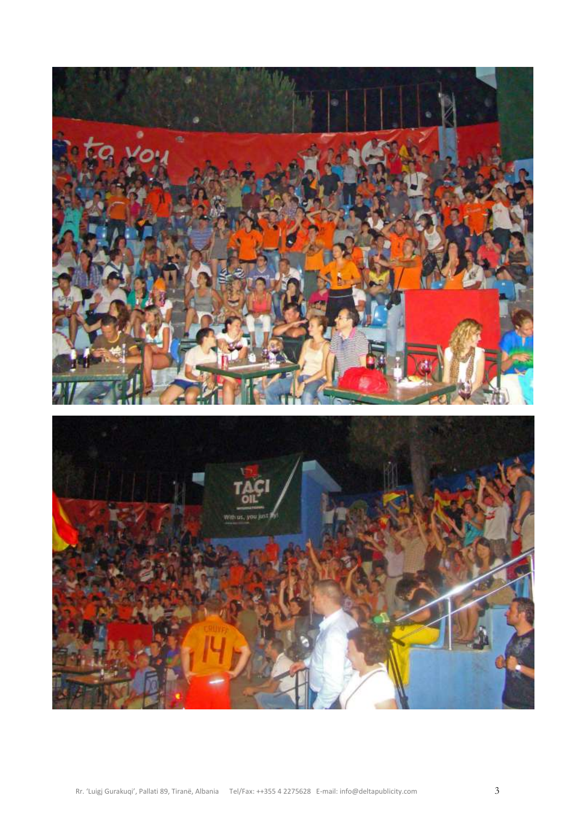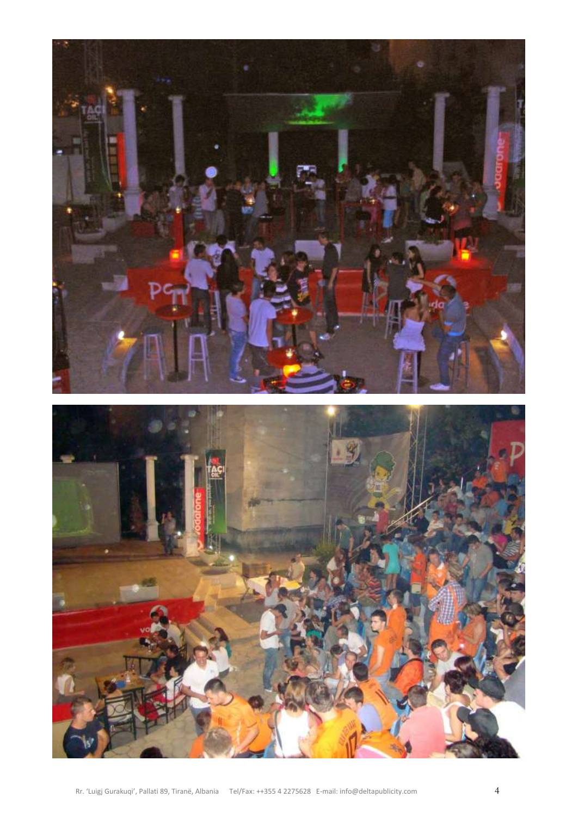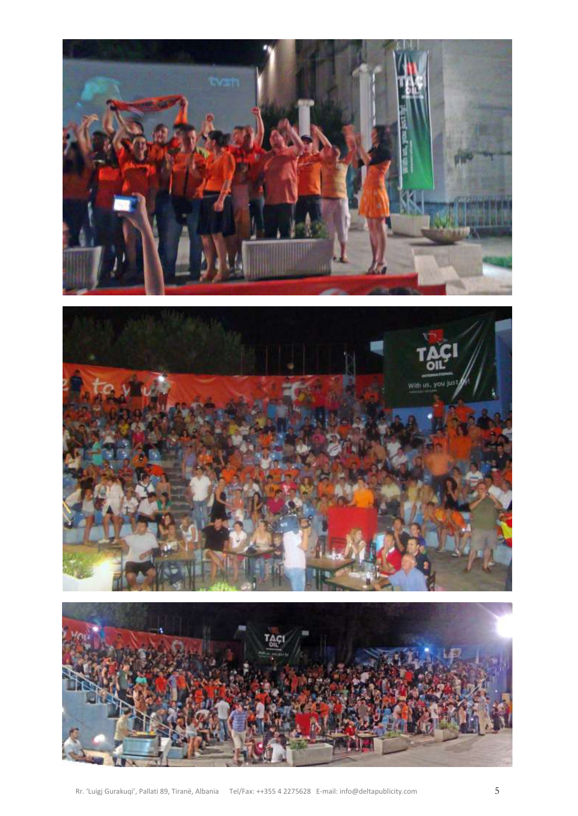



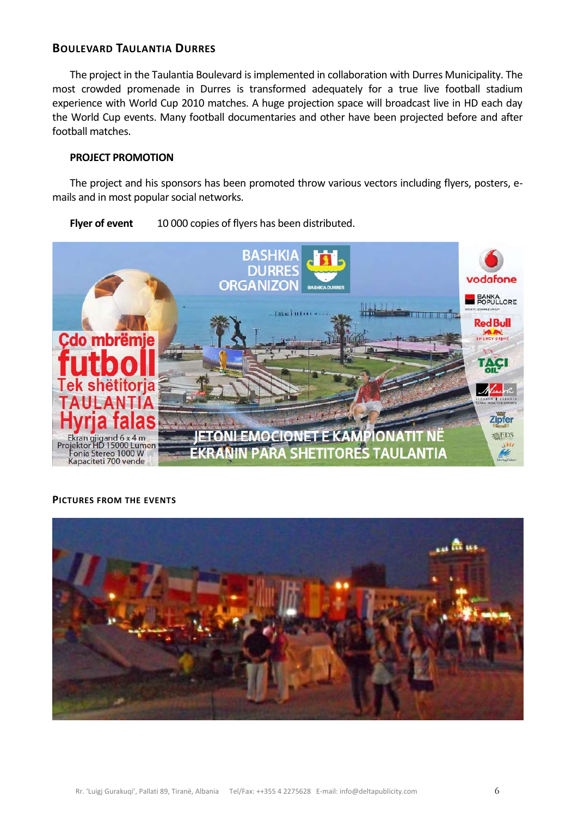### **BOULEVARD TAULANTIA DURRES**

The project in the Taulantia Boulevard is implemented in collaboration with Durres Municipality. The most crowded promenade in Durres is transformed adequately for a true live football stadium experience with World Cup 2010 matches. A huge projection space will broadcast live in HD each day the World Cup events. Many football documentaries and other have been projected before and after football matches.

### **PROJECT PROMOTION**

The project and his sponsors has been promoted throw various vectors including flyers, posters, emails and in most popular social networks.



**Flyer of event** 10 000 copies of flyers has been distributed.

#### **PICTURES FROM THE EVENTS**

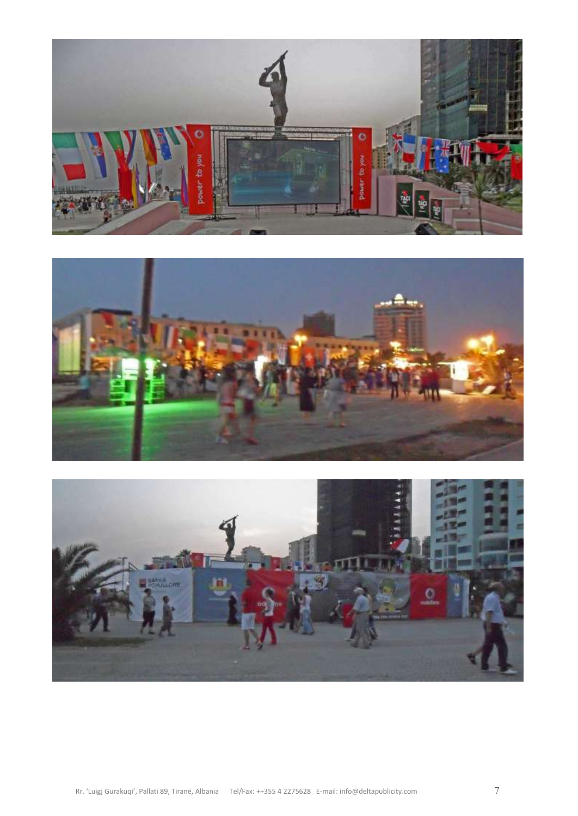



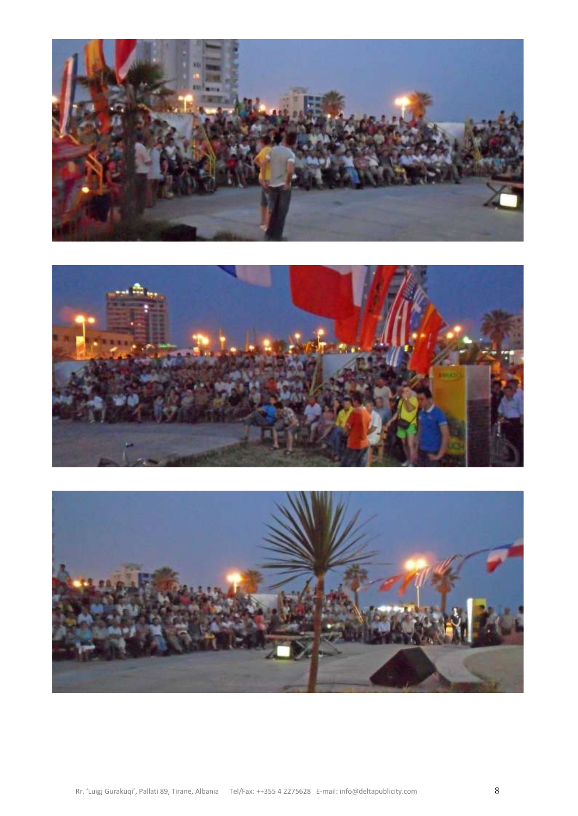



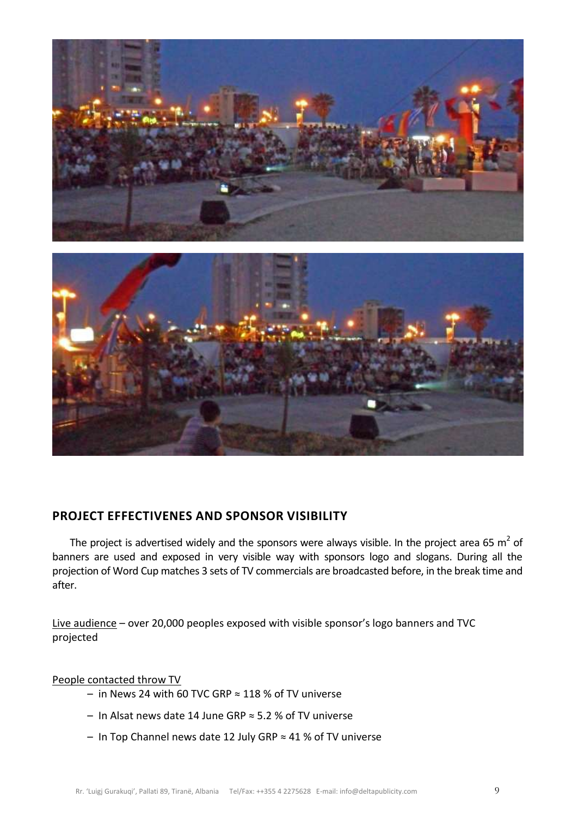

## **PROJECT EFFECTIVENES AND SPONSOR VISIBILITY**

The project is advertised widely and the sponsors were always visible. In the project area 65  $m^2$  of banners are used and exposed in very visible way with sponsors logo and slogans. During all the projection of Word Cup matches 3 sets of TV commercials are broadcasted before, in the break time and after.

Live audience – over 20,000 peoples exposed with visible sponsor's logo banners and TVC projected

### People contacted throw TV

- in News 24 with 60 TVC GRP ≈ 118 % of TV universe
- In Alsat news date 14 June GRP ≈ 5.2 % of TV universe
- In Top Channel news date 12 July GRP ≈ 41 % of TV universe